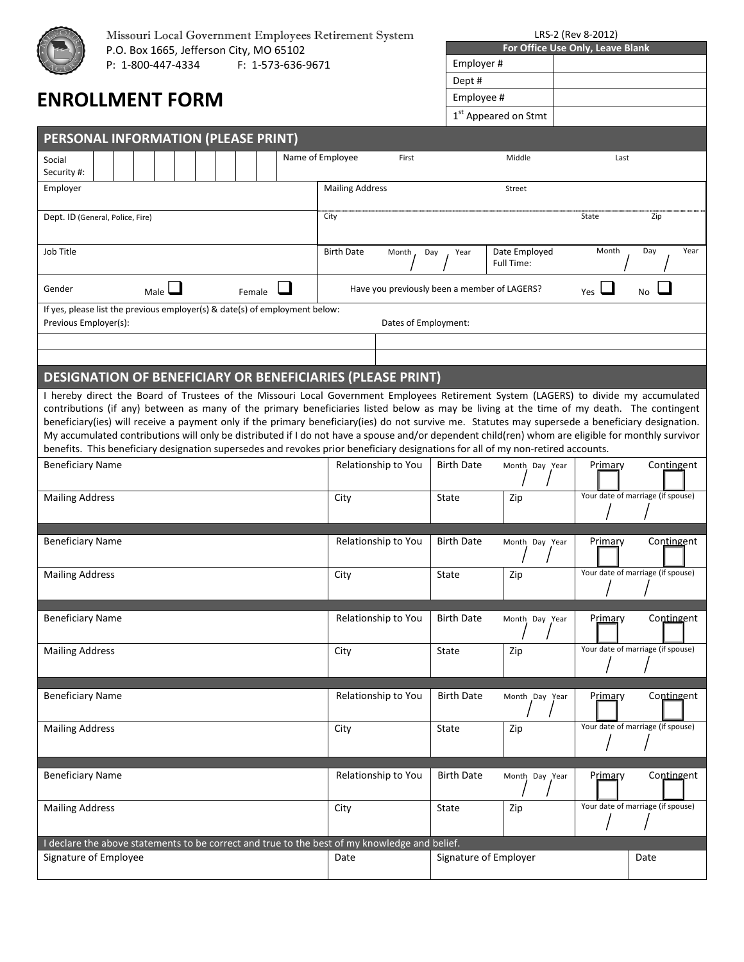

Missouri Local Government Employees Retirement System  $P.O.$  1  $P: 1-$ 

# **ENROLLME**

LRS-2 (Rev 8-2012)

| P.O. Box 1665, Jefferson City, MO 65102                                     |  |                   |  |  |  |        |                   |                                                                                               |                      |                   | For Office Use Only, Leave Blank                                                                                                                                                                                                                                                                                                                                                                                                                                                                                                                                                         |            |                                   |
|-----------------------------------------------------------------------------|--|-------------------|--|--|--|--------|-------------------|-----------------------------------------------------------------------------------------------|----------------------|-------------------|------------------------------------------------------------------------------------------------------------------------------------------------------------------------------------------------------------------------------------------------------------------------------------------------------------------------------------------------------------------------------------------------------------------------------------------------------------------------------------------------------------------------------------------------------------------------------------------|------------|-----------------------------------|
|                                                                             |  | P: 1-800-447-4334 |  |  |  |        | F: 1-573-636-9671 |                                                                                               |                      | Employer#         |                                                                                                                                                                                                                                                                                                                                                                                                                                                                                                                                                                                          |            |                                   |
| <b>ENROLLMENT FORM</b>                                                      |  |                   |  |  |  |        |                   |                                                                                               |                      | Dept #            |                                                                                                                                                                                                                                                                                                                                                                                                                                                                                                                                                                                          |            |                                   |
|                                                                             |  |                   |  |  |  |        |                   |                                                                                               |                      |                   | Employee #                                                                                                                                                                                                                                                                                                                                                                                                                                                                                                                                                                               |            |                                   |
|                                                                             |  |                   |  |  |  |        |                   |                                                                                               |                      |                   | 1 <sup>st</sup> Appeared on Stmt                                                                                                                                                                                                                                                                                                                                                                                                                                                                                                                                                         |            |                                   |
| PERSONAL INFORMATION (PLEASE PRINT)                                         |  |                   |  |  |  |        |                   |                                                                                               |                      |                   |                                                                                                                                                                                                                                                                                                                                                                                                                                                                                                                                                                                          |            |                                   |
| Social<br>Security #:                                                       |  |                   |  |  |  |        |                   | Name of Employee                                                                              | First                |                   | Middle                                                                                                                                                                                                                                                                                                                                                                                                                                                                                                                                                                                   | Last       |                                   |
| Employer                                                                    |  |                   |  |  |  |        |                   | <b>Mailing Address</b>                                                                        |                      |                   | Street                                                                                                                                                                                                                                                                                                                                                                                                                                                                                                                                                                                   |            |                                   |
| Dept. ID (General, Police, Fire)                                            |  |                   |  |  |  |        |                   | City                                                                                          |                      |                   |                                                                                                                                                                                                                                                                                                                                                                                                                                                                                                                                                                                          | State      | Zip                               |
| Job Title                                                                   |  |                   |  |  |  |        |                   | <b>Birth Date</b>                                                                             | Month                | Day<br>Year       | Date Employed<br>Full Time:                                                                                                                                                                                                                                                                                                                                                                                                                                                                                                                                                              | Month      | Year<br>Day                       |
| Gender                                                                      |  | Male              |  |  |  | Female |                   |                                                                                               |                      |                   | Have you previously been a member of LAGERS?                                                                                                                                                                                                                                                                                                                                                                                                                                                                                                                                             | $Yes \Box$ | <b>No</b>                         |
| If yes, please list the previous employer(s) & date(s) of employment below: |  |                   |  |  |  |        |                   |                                                                                               |                      |                   |                                                                                                                                                                                                                                                                                                                                                                                                                                                                                                                                                                                          |            |                                   |
| Previous Employer(s):                                                       |  |                   |  |  |  |        |                   |                                                                                               | Dates of Employment: |                   |                                                                                                                                                                                                                                                                                                                                                                                                                                                                                                                                                                                          |            |                                   |
|                                                                             |  |                   |  |  |  |        |                   |                                                                                               |                      |                   |                                                                                                                                                                                                                                                                                                                                                                                                                                                                                                                                                                                          |            |                                   |
|                                                                             |  |                   |  |  |  |        |                   | <b>DESIGNATION OF BENEFICIARY OR BENEFICIARIES (PLEASE PRINT)</b>                             |                      |                   |                                                                                                                                                                                                                                                                                                                                                                                                                                                                                                                                                                                          |            |                                   |
|                                                                             |  |                   |  |  |  |        |                   |                                                                                               |                      |                   | contributions (if any) between as many of the primary beneficiaries listed below as may be living at the time of my death. The contingent<br>beneficiary(ies) will receive a payment only if the primary beneficiary(ies) do not survive me. Statutes may supersede a beneficiary designation.<br>My accumulated contributions will only be distributed if I do not have a spouse and/or dependent child(ren) whom are eligible for monthly survivor<br>benefits. This beneficiary designation supersedes and revokes prior beneficiary designations for all of my non-retired accounts. |            |                                   |
| <b>Beneficiary Name</b>                                                     |  |                   |  |  |  |        |                   |                                                                                               | Relationship to You  | <b>Birth Date</b> | Month Day Year                                                                                                                                                                                                                                                                                                                                                                                                                                                                                                                                                                           | Primary    | Contingent                        |
| <b>Mailing Address</b>                                                      |  |                   |  |  |  |        |                   | City                                                                                          |                      | State             | Zip                                                                                                                                                                                                                                                                                                                                                                                                                                                                                                                                                                                      |            | Your date of marriage (if spouse) |
| <b>Beneficiary Name</b>                                                     |  |                   |  |  |  |        |                   |                                                                                               | Relationship to You  | <b>Birth Date</b> | Month Day Year                                                                                                                                                                                                                                                                                                                                                                                                                                                                                                                                                                           | Primary    | Contingent                        |
| <b>Mailing Address</b>                                                      |  |                   |  |  |  |        |                   | City                                                                                          |                      | State             | Zip                                                                                                                                                                                                                                                                                                                                                                                                                                                                                                                                                                                      |            | Your date of marriage (if spouse) |
| <b>Beneficiary Name</b>                                                     |  |                   |  |  |  |        |                   |                                                                                               | Relationship to You  | <b>Birth Date</b> | Month Day Year                                                                                                                                                                                                                                                                                                                                                                                                                                                                                                                                                                           | Primary    | Contingent                        |
| <b>Mailing Address</b>                                                      |  |                   |  |  |  |        |                   | City                                                                                          |                      | State             | Zip                                                                                                                                                                                                                                                                                                                                                                                                                                                                                                                                                                                      |            | Your date of marriage (if spouse) |
| <b>Beneficiary Name</b>                                                     |  |                   |  |  |  |        |                   |                                                                                               | Relationship to You  | <b>Birth Date</b> | Month Day Year                                                                                                                                                                                                                                                                                                                                                                                                                                                                                                                                                                           | Primary    | Contingent                        |
| <b>Mailing Address</b>                                                      |  |                   |  |  |  |        |                   | City                                                                                          |                      | State             | Zip                                                                                                                                                                                                                                                                                                                                                                                                                                                                                                                                                                                      |            | Your date of marriage (if spouse) |
| <b>Beneficiary Name</b>                                                     |  |                   |  |  |  |        |                   |                                                                                               | Relationship to You  | <b>Birth Date</b> | Month Day Year                                                                                                                                                                                                                                                                                                                                                                                                                                                                                                                                                                           | Primary    | Contingent                        |
| <b>Mailing Address</b>                                                      |  |                   |  |  |  |        |                   | City                                                                                          |                      | State             | Zip                                                                                                                                                                                                                                                                                                                                                                                                                                                                                                                                                                                      |            | Your date of marriage (if spouse) |
|                                                                             |  |                   |  |  |  |        |                   | I declare the above statements to be correct and true to the best of my knowledge and belief. |                      |                   |                                                                                                                                                                                                                                                                                                                                                                                                                                                                                                                                                                                          |            |                                   |
| Signature of Employee                                                       |  |                   |  |  |  |        |                   | Date                                                                                          |                      |                   | Signature of Employer                                                                                                                                                                                                                                                                                                                                                                                                                                                                                                                                                                    |            | Date                              |